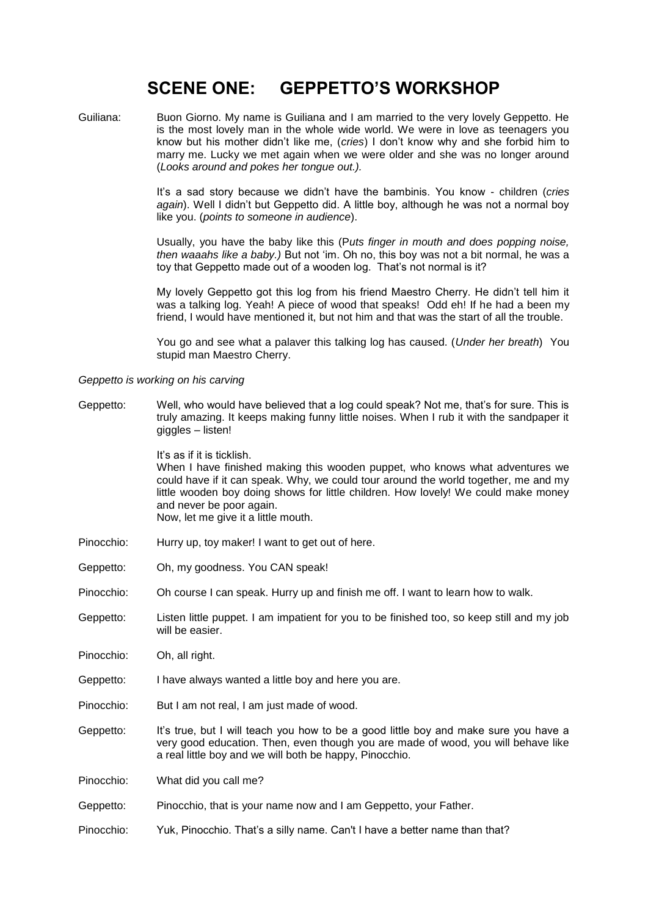# **SCENE ONE: GEPPETTO'S WORKSHOP**

Guiliana: Buon Giorno. My name is Guiliana and I am married to the very lovely Geppetto. He is the most lovely man in the whole wide world. We were in love as teenagers you know but his mother didn't like me, (*cries*) I don't know why and she forbid him to marry me. Lucky we met again when we were older and she was no longer around (*Looks around and pokes her tongue out.).* 

> It's a sad story because we didn't have the bambinis. You know - children (*cries again*). Well I didn't but Geppetto did. A little boy, although he was not a normal boy like you. (*points to someone in audience*).

> Usually, you have the baby like this (P*uts finger in mouth and does popping noise, then waaahs like a baby.)* But not 'im. Oh no, this boy was not a bit normal, he was a toy that Geppetto made out of a wooden log. That's not normal is it?

> My lovely Geppetto got this log from his friend Maestro Cherry. He didn't tell him it was a talking log. Yeah! A piece of wood that speaks! Odd eh! If he had a been my friend, I would have mentioned it, but not him and that was the start of all the trouble.

> You go and see what a palaver this talking log has caused. (*Under her breath*) You stupid man Maestro Cherry.

### *Geppetto is working on his carving*

Geppetto: Well, who would have believed that a log could speak? Not me, that's for sure. This is truly amazing. It keeps making funny little noises. When I rub it with the sandpaper it giggles – listen!

It's as if it is ticklish.

When I have finished making this wooden puppet, who knows what adventures we could have if it can speak. Why, we could tour around the world together, me and my little wooden boy doing shows for little children. How lovely! We could make money and never be poor again. Now, let me give it a little mouth.

- Pinocchio: Hurry up, toy maker! I want to get out of here.
- Geppetto: Oh, my goodness. You CAN speak!
- Pinocchio: Oh course I can speak. Hurry up and finish me off. I want to learn how to walk.
- Geppetto: Listen little puppet. I am impatient for you to be finished too, so keep still and my job will be easier.

Pinocchio: Oh, all right.

- Geppetto: I have always wanted a little boy and here you are.
- Pinocchio: But I am not real, I am just made of wood.
- Geppetto: It's true, but I will teach you how to be a good little boy and make sure you have a very good education. Then, even though you are made of wood, you will behave like a real little boy and we will both be happy, Pinocchio.

Pinocchio: What did you call me?

Geppetto: Pinocchio, that is your name now and I am Geppetto, your Father.

Pinocchio: Yuk, Pinocchio. That's a silly name. Can't I have a better name than that?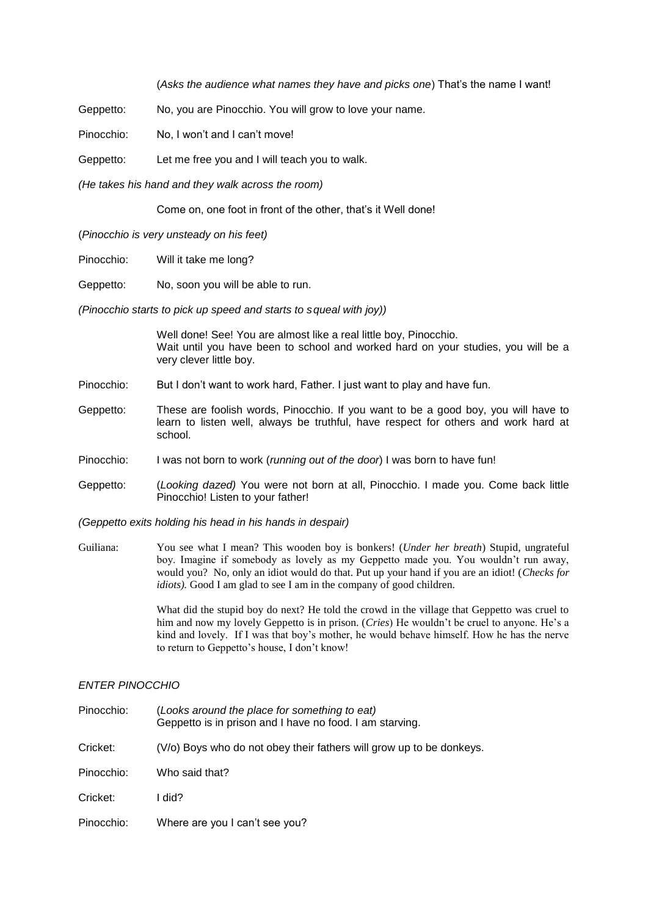(*Asks the audience what names they have and picks one*) That's the name I want!

Geppetto: No, you are Pinocchio. You will grow to love your name.

Pinocchio: No, I won't and I can't move!

Geppetto: Let me free you and I will teach you to walk.

*(He takes his hand and they walk across the room)*

Come on, one foot in front of the other, that's it Well done!

(*Pinocchio is very unsteady on his feet)*

Pinocchio: Will it take me long?

Geppetto: No, soon you will be able to run.

*(Pinocchio starts to pick up speed and starts to squeal with joy))*

Well done! See! You are almost like a real little boy, Pinocchio. Wait until you have been to school and worked hard on your studies, you will be a very clever little boy.

- Pinocchio: But I don't want to work hard, Father. I just want to play and have fun.
- Geppetto: These are foolish words, Pinocchio. If you want to be a good boy, you will have to learn to listen well, always be truthful, have respect for others and work hard at school.
- Pinocchio: I was not born to work (*running out of the door*) I was born to have fun!
- Geppetto: (*Looking dazed)* You were not born at all, Pinocchio. I made you. Come back little Pinocchio! Listen to your father!

*(Geppetto exits holding his head in his hands in despair)*

Guiliana: You see what I mean? This wooden boy is bonkers! (*Under her breath*) Stupid, ungrateful boy. Imagine if somebody as lovely as my Geppetto made you. You wouldn't run away, would you? No, only an idiot would do that. Put up your hand if you are an idiot! (*Checks for idiots*). Good I am glad to see I am in the company of good children.

> What did the stupid boy do next? He told the crowd in the village that Geppetto was cruel to him and now my lovely Geppetto is in prison. (*Cries*) He wouldn't be cruel to anyone. He's a kind and lovely. If I was that boy's mother, he would behave himself. How he has the nerve to return to Geppetto's house, I don't know!

#### *ENTER PINOCCHIO*

| Pinocchio: | (Looks around the place for something to eat)<br>Geppetto is in prison and I have no food. I am starving. |
|------------|-----------------------------------------------------------------------------------------------------------|
| Cricket:   | (V/o) Boys who do not obey their fathers will grow up to be donkeys.                                      |
| Pinocchio: | Who said that?                                                                                            |
| Cricket:   | l did?                                                                                                    |
| Pinocchio: | Where are you I can't see you?                                                                            |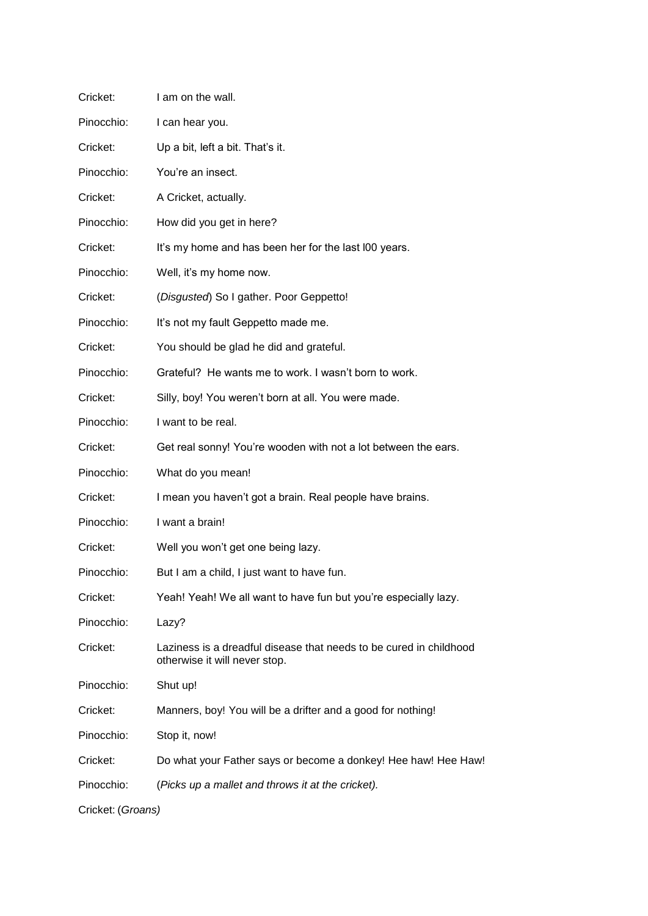| Cricket:          | I am on the wall.                                                                                   |
|-------------------|-----------------------------------------------------------------------------------------------------|
| Pinocchio:        | I can hear you.                                                                                     |
| Cricket:          | Up a bit, left a bit. That's it.                                                                    |
| Pinocchio:        | You're an insect.                                                                                   |
| Cricket:          | A Cricket, actually.                                                                                |
| Pinocchio:        | How did you get in here?                                                                            |
| Cricket:          | It's my home and has been her for the last I00 years.                                               |
| Pinocchio:        | Well, it's my home now.                                                                             |
| Cricket:          | (Disgusted) So I gather. Poor Geppetto!                                                             |
| Pinocchio:        | It's not my fault Geppetto made me.                                                                 |
| Cricket:          | You should be glad he did and grateful.                                                             |
| Pinocchio:        | Grateful? He wants me to work. I wasn't born to work.                                               |
| Cricket:          | Silly, boy! You weren't born at all. You were made.                                                 |
| Pinocchio:        | I want to be real.                                                                                  |
| Cricket:          | Get real sonny! You're wooden with not a lot between the ears.                                      |
| Pinocchio:        | What do you mean!                                                                                   |
| Cricket:          | I mean you haven't got a brain. Real people have brains.                                            |
| Pinocchio:        | I want a brain!                                                                                     |
| Cricket:          | Well you won't get one being lazy.                                                                  |
| Pinocchio:        | But I am a child, I just want to have fun.                                                          |
| Cricket:          | Yeah! Yeah! We all want to have fun but you're especially lazy.                                     |
| Pinocchio:        | Lazy?                                                                                               |
| Cricket:          | Laziness is a dreadful disease that needs to be cured in childhood<br>otherwise it will never stop. |
| Pinocchio:        | Shut up!                                                                                            |
| Cricket:          | Manners, boy! You will be a drifter and a good for nothing!                                         |
| Pinocchio:        | Stop it, now!                                                                                       |
| Cricket:          | Do what your Father says or become a donkey! Hee haw! Hee Haw!                                      |
| Pinocchio:        | (Picks up a mallet and throws it at the cricket).                                                   |
| Cricket: (Groans) |                                                                                                     |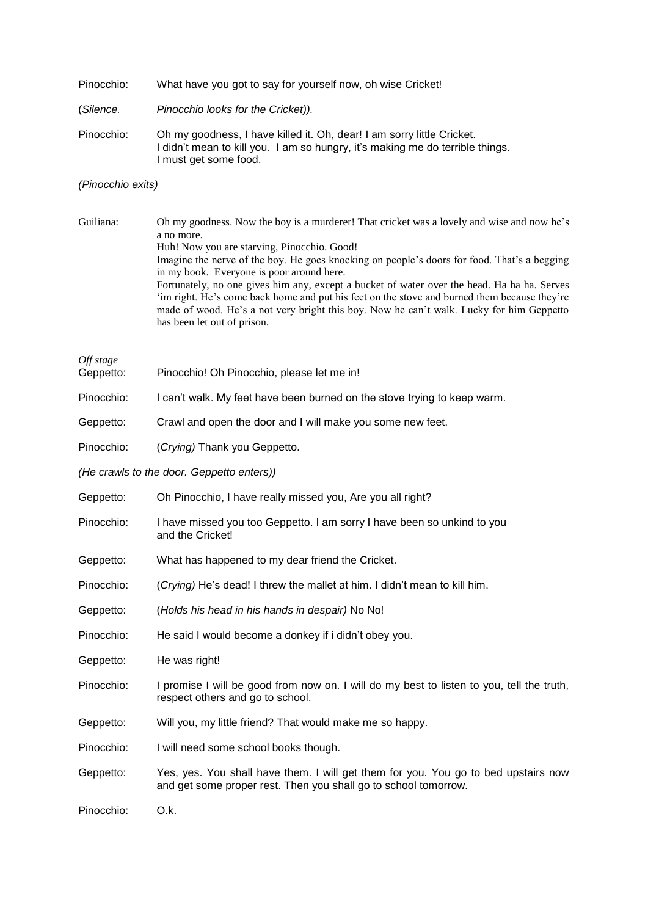| Pinocchio: | What have you got to say for yourself now, oh wise Cricket! |  |  |  |
|------------|-------------------------------------------------------------|--|--|--|
|            |                                                             |  |  |  |

(*Silence. Pinocchio looks for the Cricket)).*

Pinocchio: Oh my goodness, I have killed it. Oh, dear! I am sorry little Cricket. I didn't mean to kill you. I am so hungry, it's making me do terrible things. I must get some food.

# *(Pinocchio exits)*

| Guiliana: | Oh my goodness. Now the boy is a murderer! That cricket was a lovely and wise and now he's                                                                                              |
|-----------|-----------------------------------------------------------------------------------------------------------------------------------------------------------------------------------------|
|           | a no more.                                                                                                                                                                              |
|           | Huh! Now you are starving, Pinocchio. Good!                                                                                                                                             |
|           | Imagine the nerve of the boy. He goes knocking on people's doors for food. That's a begging                                                                                             |
|           | in my book. Everyone is poor around here.                                                                                                                                               |
|           | Fortunately, no one gives him any, except a bucket of water over the head. Ha ha ha. Serves                                                                                             |
|           | im right. He's come back home and put his feet on the stove and burned them because they're<br>made of wood. He's a not very bright this boy. Now he can't walk. Lucky for him Geppetto |
|           | has been let out of prison.                                                                                                                                                             |

*Off stage*

| Geppetto: | Pinocchio! Oh Pinocchio, please let me in! |  |  |  |  |
|-----------|--------------------------------------------|--|--|--|--|
|-----------|--------------------------------------------|--|--|--|--|

Pinocchio: I can't walk. My feet have been burned on the stove trying to keep warm.

Geppetto: Crawl and open the door and I will make you some new feet.

Pinocchio: (*Crying)* Thank you Geppetto.

*(He crawls to the door. Geppetto enters))*

| Geppetto:  | Oh Pinocchio, I have really missed you, Are you all right?                                                                                            |
|------------|-------------------------------------------------------------------------------------------------------------------------------------------------------|
| Pinocchio: | I have missed you too Geppetto. I am sorry I have been so unkind to you<br>and the Cricket!                                                           |
| Geppetto:  | What has happened to my dear friend the Cricket.                                                                                                      |
| Pinocchio: | (Crying) He's dead! I threw the mallet at him. I didn't mean to kill him.                                                                             |
| Geppetto:  | (Holds his head in his hands in despair) No No!                                                                                                       |
| Pinocchio: | He said I would become a donkey if i didn't obey you.                                                                                                 |
| Geppetto:  | He was right!                                                                                                                                         |
| Pinocchio: | I promise I will be good from now on. I will do my best to listen to you, tell the truth,<br>respect others and go to school.                         |
| Geppetto:  | Will you, my little friend? That would make me so happy.                                                                                              |
| Pinocchio: | I will need some school books though.                                                                                                                 |
| Geppetto:  | Yes, yes. You shall have them. I will get them for you. You go to bed upstairs now<br>and get some proper rest. Then you shall go to school tomorrow. |
| Pinocchio: | O.k.                                                                                                                                                  |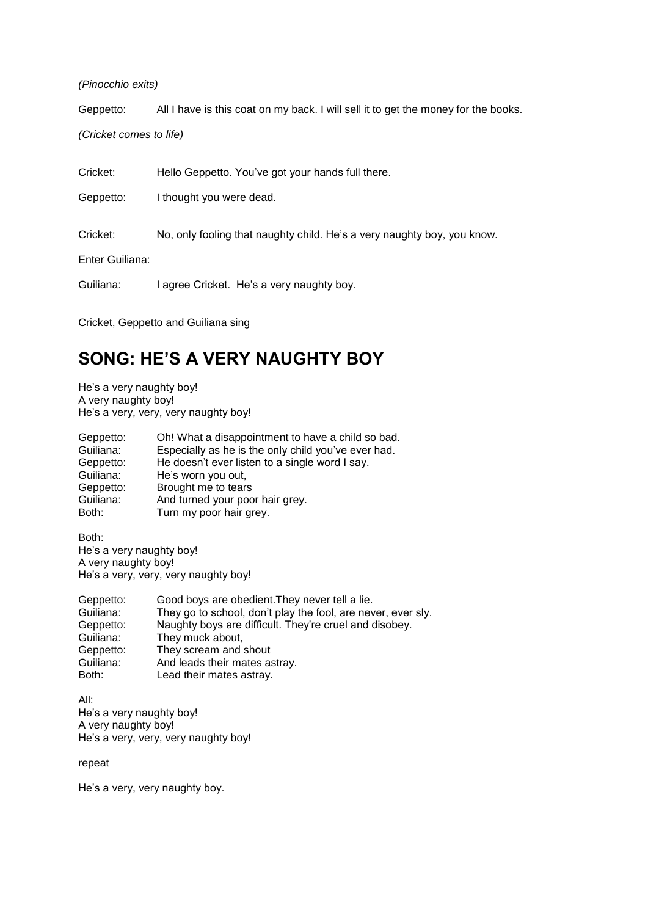*(Pinocchio exits)*

Geppetto: All I have is this coat on my back. I will sell it to get the money for the books.

*(Cricket comes to life)*

Cricket: Hello Geppetto. You've got your hands full there.

Geppetto: I thought you were dead.

Cricket: No, only fooling that naughty child. He's a very naughty boy, you know.

Enter Guiliana:

Guiliana: I agree Cricket. He's a very naughty boy.

Cricket, Geppetto and Guiliana sing

# **SONG: HE'S A VERY NAUGHTY BOY**

He's a very naughty boy! A very naughty boy! He's a very, very, very naughty boy!

| Geppetto: | Oh! What a disappointment to have a child so bad.   |
|-----------|-----------------------------------------------------|
| Guiliana: | Especially as he is the only child you've ever had. |
| Geppetto: | He doesn't ever listen to a single word I say.      |
| Guiliana: | He's worn you out,                                  |
| Geppetto: | Brought me to tears                                 |
| Guiliana: | And turned your poor hair grey.                     |
| Both:     | Turn my poor hair grey.                             |

Both: He's a very naughty boy! A very naughty boy! He's a very, very, very naughty boy!

| Geppetto: | Good boys are obedient. They never tell a lie.               |
|-----------|--------------------------------------------------------------|
| Guiliana: | They go to school, don't play the fool, are never, ever sly. |
| Geppetto: | Naughty boys are difficult. They're cruel and disobey.       |
| Guiliana: | They muck about,                                             |
| Geppetto: | They scream and shout                                        |
| Guiliana: | And leads their mates astray.                                |
| Both:     | Lead their mates astray.                                     |

All: He's a very naughty boy! A very naughty boy! He's a very, very, very naughty boy!

## repeat

He's a very, very naughty boy.